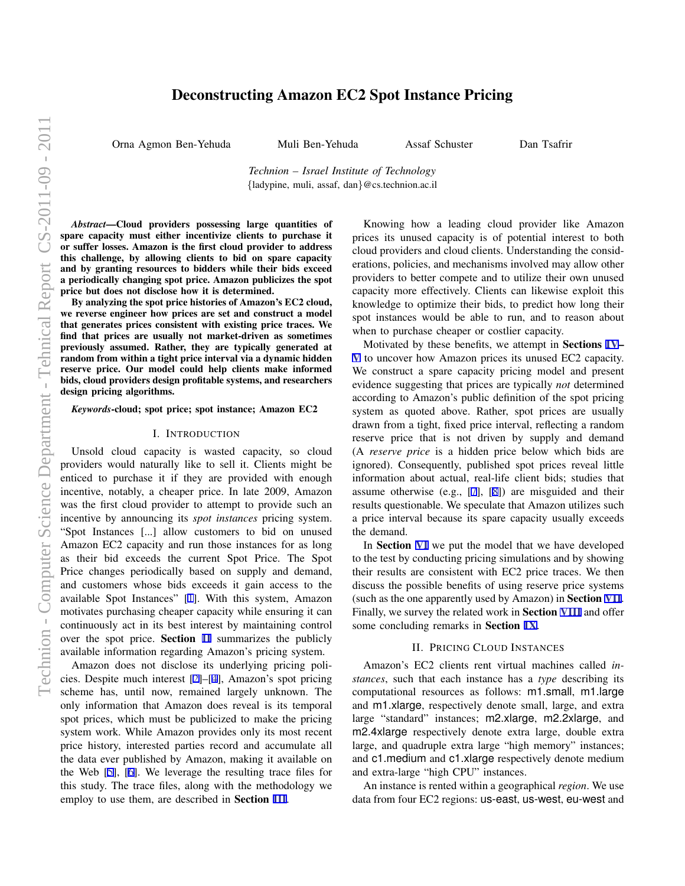# Deconstructing Amazon EC2 Spot Instance Pricing

Orna Agmon Ben-Yehuda Muli Ben-Yehuda Assaf Schuster Dan Tsafrir

*Technion – Israel Institute of Technology {*ladypine, muli, assaf, dan*}*@cs.technion.ac.il

*Abstract*—Cloud providers possessing large quantities of spare capacity must either incentivize clients to purchase it or suffer losses. Amazon is the first cloud provider to address this challenge, by allowing clients to bid on spare capacity and by granting resources to bidders while their bids exceed a periodically changing spot price. Amazon publicizes the spot price but does not disclose how it is determined.

By analyzing the spot price histories of Amazon's EC2 cloud, we reverse engineer how prices are set and construct a model that generates prices consistent with existing price traces. We find that prices are usually not market-driven as sometimes previously assumed. Rather, they are typically generated at random from within a tight price interval via a dynamic hidden reserve price. Our model could help clients make informed bids, cloud providers design profitable systems, and researchers design pricing algorithms.

*Keywords*-cloud; spot price; spot instance; Amazon EC2

#### I. INTRODUCTION

Unsold cloud capacity is wasted capacity, so cloud providers would naturally like to sell it. Clients might be enticed to purchase it if they are provided with enough incentive, notably, a cheaper price. In late 2009, Amazon was the first cloud provider to attempt to provide such an incentive by announcing its *spot instances* pricing system. "Spot Instances [...] allow customers to bid on unused Amazon EC2 capacity and run those instances for as long as their bid exceeds the current Spot Price. The Spot Price changes periodically based on supply and demand, and customers whose bids exceeds it gain access to the available Spot Instances" [[1\]](#page-7-0). With this system, Amazon motivates purchasing cheaper capacity while ensuring it can continuously act in its best interest by maintaining control over the spot price. Section II summarizes the publicly available information regarding Amazon's pricing system.

Amazon does not disclose its underlying pricing policies. Despite much interest [[2\]](#page-7-0)–[\[4](#page-7-0)], Amazon's spot pricing scheme has, until now, remained largely unknown. The only information that Amazon does reveal is its temporal spot prices, which must be publicized to make the pricing system work. While Amazon provides only its most recent price history, interested parties record and accumulate all the data ever published by Amazon, making it available on the Web [\[5](#page-7-0)], [[6\]](#page-7-0). We leverage the resulting trace files for this study. The trace files, along with the methodology we employ to use them, are described in Section [III](#page-1-0).

Knowing how a leading cloud provider like Amazon prices its unused capacity is of potential interest to both cloud providers and cloud clients. Understanding the considerations, policies, and mechanisms involved may allow other providers to better compete and to utilize their own unused capacity more effectively. Clients can likewise exploit this knowledge to optimize their bids, to predict how long their spot instances would be able to run, and to reason about when to purchase cheaper or costlier capacity.

Motivated by these benefits, we attempt in Sections [IV](#page-1-0)– [V](#page-4-0) to uncover how Amazon prices its unused EC2 capacity. We construct a spare capacity pricing model and present evidence suggesting that prices are typically *not* determined according to Amazon's public definition of the spot pricing system as quoted above. Rather, spot prices are usually drawn from a tight, fixed price interval, reflecting a random reserve price that is not driven by supply and demand (A *reserve price* is a hidden price below which bids are ignored). Consequently, published spot prices reveal little information about actual, real-life client bids; studies that assume otherwise (e.g., [\[7](#page-7-0)], [\[8](#page-7-0)]) are misguided and their results questionable. We speculate that Amazon utilizes such a price interval because its spare capacity usually exceeds the demand.

In Section [VI](#page-4-0) we put the model that we have developed to the test by conducting pricing simulations and by showing their results are consistent with EC2 price traces. We then discuss the possible benefits of using reserve price systems (such as the one apparently used by Amazon) in Section [VII](#page-6-0). Finally, we survey the related work in Section [VIII](#page-6-0) and offer some concluding remarks in Section [IX](#page-7-0).

# II. PRICING CLOUD INSTANCES

Amazon's EC2 clients rent virtual machines called *instances*, such that each instance has a *type* describing its computational resources as follows: m1.small, m1.large and m1.xlarge, respectively denote small, large, and extra large "standard" instances; m2.xlarge, m2.2xlarge, and m2.4xlarge respectively denote extra large, double extra large, and quadruple extra large "high memory" instances; and c1.medium and c1.xlarge respectively denote medium and extra-large "high CPU" instances.

An instance is rented within a geographical *region*. We use data from four EC2 regions: us-east, us-west, eu-west and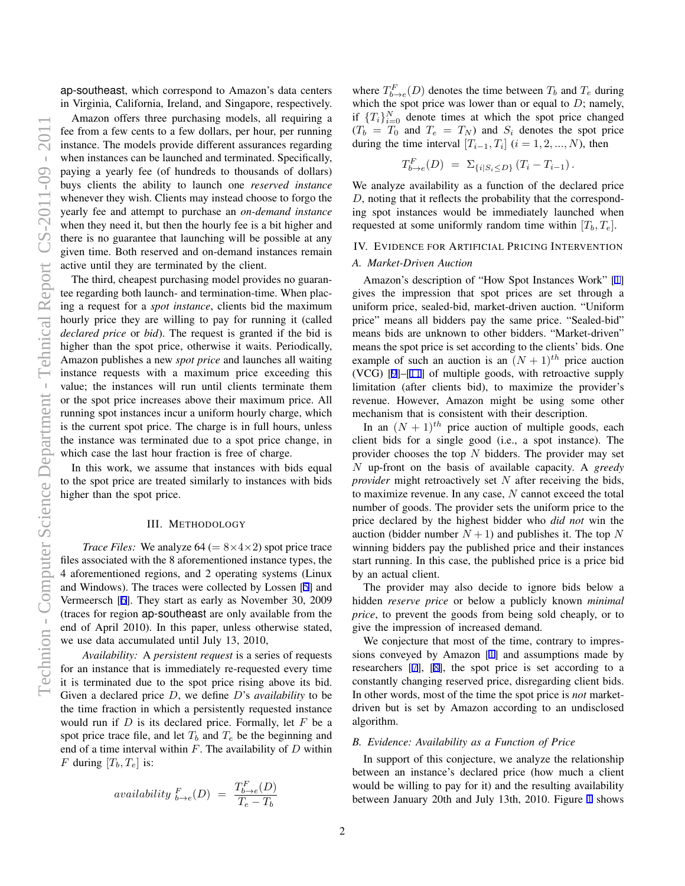<span id="page-1-0"></span>ap-southeast, which correspond to Amazon's data centers in Virginia, California, Ireland, and Singapore, respectively.

Amazon offers three purchasing models, all requiring a fee from a few cents to a few dollars, per hour, per running instance. The models provide different assurances regarding when instances can be launched and terminated. Specifically, paying a yearly fee (of hundreds to thousands of dollars) buys clients the ability to launch one *reserved instance* whenever they wish. Clients may instead choose to forgo the yearly fee and attempt to purchase an *on-demand instance* when they need it, but then the hourly fee is a bit higher and there is no guarantee that launching will be possible at any given time. Both reserved and on-demand instances remain active until they are terminated by the client.

The third, cheapest purchasing model provides no guarantee regarding both launch- and termination-time. When placing a request for a *spot instance*, clients bid the maximum hourly price they are willing to pay for running it (called *declared price* or *bid*). The request is granted if the bid is higher than the spot price, otherwise it waits. Periodically, Amazon publishes a new *spot price* and launches all waiting instance requests with a maximum price exceeding this value; the instances will run until clients terminate them or the spot price increases above their maximum price. All running spot instances incur a uniform hourly charge, which is the current spot price. The charge is in full hours, unless the instance was terminated due to a spot price change, in which case the last hour fraction is free of charge.

In this work, we assume that instances with bids equal to the spot price are treated similarly to instances with bids higher than the spot price.

### III. METHODOLOGY

*Trace Files:* We analyze  $64 (= 8 \times 4 \times 2)$  spot price trace files associated with the 8 aforementioned instance types, the 4 aforementioned regions, and 2 operating systems (Linux and Windows). The traces were collected by Lossen [\[5](#page-7-0)] and Vermeersch [\[6](#page-7-0)]. They start as early as November 30, 2009 (traces for region ap-southeast are only available from the end of April 2010). In this paper, unless otherwise stated, we use data accumulated until July 13, 2010,

*Availability:* A *persistent request* is a series of requests for an instance that is immediately re-requested every time it is terminated due to the spot price rising above its bid. Given a declared price *D*, we define *D*'s *availability* to be the time fraction in which a persistently requested instance would run if *D* is its declared price. Formally, let *F* be a spot price trace file, and let  $T_b$  and  $T_e$  be the beginning and end of a time interval within *F*. The availability of *D* within *F* during  $[T_b, T_e]$  is:

$$
availability \, \, \substack{F \\ b \rightarrow e} (D) \, \, = \, \, \frac{T_{b \rightarrow e}^F(D)}{T_e - T_b}
$$

where  $T_{b\rightarrow e}^{F}(D)$  denotes the time between  $T_b$  and  $T_e$  during which the spot price was lower than or equal to *D*; namely, if  ${T_i}_{i=0}^N$  denote times at which the spot price changed  $(T_b = T_0$  and  $T_e = T_N$ ) and  $S_i$  denotes the spot price during the time interval  $[T_{i-1}, T_i]$   $(i = 1, 2, ..., N)$ , then

$$
T_{b\to e}^F(D) = \Sigma_{\{i|S_i \le D\}} (T_i - T_{i-1}).
$$

We analyze availability as a function of the declared price *D*, noting that it reflects the probability that the corresponding spot instances would be immediately launched when requested at some uniformly random time within  $[T_b, T_e]$ .

# IV. EVIDENCE FOR ARTIFICIAL PRICING INTERVENTION

#### *A. Market-Driven Auction*

Amazon's description of "How Spot Instances Work" [[1\]](#page-7-0) gives the impression that spot prices are set through a uniform price, sealed-bid, market-driven auction. "Uniform price" means all bidders pay the same price. "Sealed-bid" means bids are unknown to other bidders. "Market-driven" means the spot price is set according to the clients' bids. One example of such an auction is an  $(N + 1)$ <sup>th</sup> price auction (VCG) [[9\]](#page-7-0)–[[11\]](#page-7-0) of multiple goods, with retroactive supply limitation (after clients bid), to maximize the provider's revenue. However, Amazon might be using some other mechanism that is consistent with their description.

In an  $(N + 1)^{th}$  price auction of multiple goods, each client bids for a single good (i.e., a spot instance). The provider chooses the top *N* bidders. The provider may set *N* up-front on the basis of available capacity. A *greedy provider* might retroactively set *N* after receiving the bids, to maximize revenue. In any case, *N* cannot exceed the total number of goods. The provider sets the uniform price to the price declared by the highest bidder who *did not* win the auction (bidder number  $N + 1$ ) and publishes it. The top N winning bidders pay the published price and their instances start running. In this case, the published price is a price bid by an actual client.

The provider may also decide to ignore bids below a hidden *reserve price* or below a publicly known *minimal price*, to prevent the goods from being sold cheaply, or to give the impression of increased demand.

We conjecture that most of the time, contrary to impressions conveyed by Amazon [\[1](#page-7-0)] and assumptions made by researchers [\[7](#page-7-0)], [[8\]](#page-7-0), the spot price is set according to a constantly changing reserved price, disregarding client bids. In other words, most of the time the spot price is *not* marketdriven but is set by Amazon according to an undisclosed algorithm.

#### *B. Evidence: Availability as a Function of Price*

In support of this conjecture, we analyze the relationship between an instance's declared price (how much a client would be willing to pay for it) and the resulting availability between January 20th and July 13th, 2010. Figure [1](#page-3-0) shows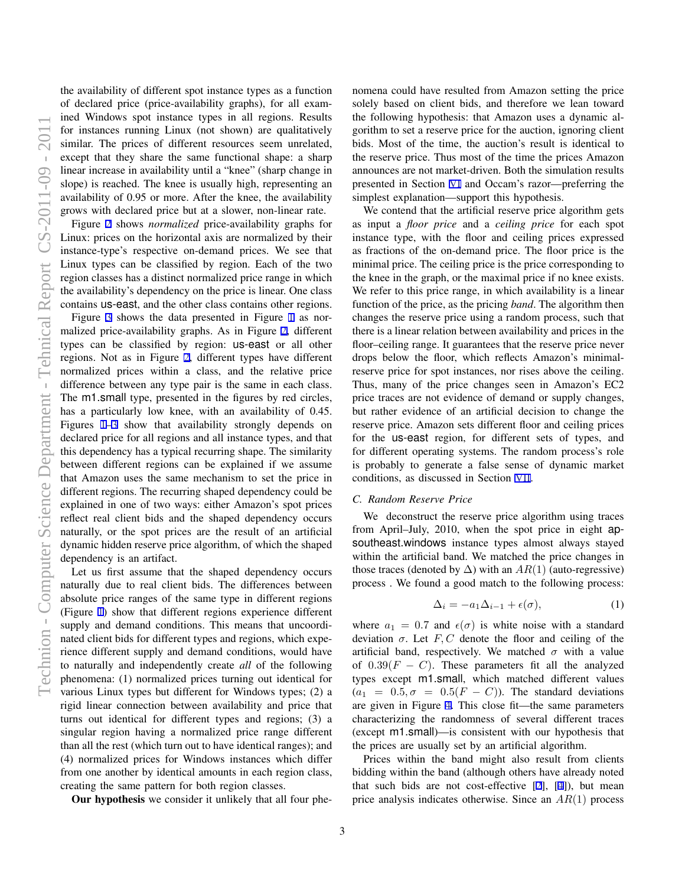<span id="page-2-0"></span>the availability of different spot instance types as a function of declared price (price-availability graphs), for all examined Windows spot instance types in all regions. Results for instances running Linux (not shown) are qualitatively similar. The prices of different resources seem unrelated, except that they share the same functional shape: a sharp linear increase in availability until a "knee" (sharp change in slope) is reached. The knee is usually high, representing an availability of 0.95 or more. After the knee, the availability grows with declared price but at a slower, non-linear rate.

Figure [2](#page-3-0) shows *normalized* price-availability graphs for Linux: prices on the horizontal axis are normalized by their instance-type's respective on-demand prices. We see that Linux types can be classified by region. Each of the two region classes has a distinct normalized price range in which the availability's dependency on the price is linear. One class contains us-east, and the other class contains other regions.

Figure [3](#page-3-0) shows the data presented in Figure [1](#page-3-0) as normalized price-availability graphs. As in Figure [2](#page-3-0), different types can be classified by region: us-east or all other regions. Not as in Figure [2](#page-3-0), different types have different normalized prices within a class, and the relative price difference between any type pair is the same in each class. The m1.small type, presented in the figures by red circles, has a particularly low knee, with an availability of 0.45. Figures [1–3](#page-3-0) show that availability strongly depends on declared price for all regions and all instance types, and that this dependency has a typical recurring shape. The similarity between different regions can be explained if we assume that Amazon uses the same mechanism to set the price in different regions. The recurring shaped dependency could be explained in one of two ways: either Amazon's spot prices reflect real client bids and the shaped dependency occurs naturally, or the spot prices are the result of an artificial dynamic hidden reserve price algorithm, of which the shaped dependency is an artifact.

Let us first assume that the shaped dependency occurs naturally due to real client bids. The differences between absolute price ranges of the same type in different regions (Figure [1\)](#page-3-0) show that different regions experience different supply and demand conditions. This means that uncoordinated client bids for different types and regions, which experience different supply and demand conditions, would have to naturally and independently create *all* of the following phenomena: (1) normalized prices turning out identical for various Linux types but different for Windows types; (2) a rigid linear connection between availability and price that turns out identical for different types and regions; (3) a singular region having a normalized price range different than all the rest (which turn out to have identical ranges); and (4) normalized prices for Windows instances which differ from one another by identical amounts in each region class, creating the same pattern for both region classes.

Our hypothesis we consider it unlikely that all four phe-

nomena could have resulted from Amazon setting the price solely based on client bids, and therefore we lean toward the following hypothesis: that Amazon uses a dynamic algorithm to set a reserve price for the auction, ignoring client bids. Most of the time, the auction's result is identical to the reserve price. Thus most of the time the prices Amazon announces are not market-driven. Both the simulation results presented in Section [VI](#page-4-0) and Occam's razor—preferring the simplest explanation—support this hypothesis.

We contend that the artificial reserve price algorithm gets as input a *floor price* and a *ceiling price* for each spot instance type, with the floor and ceiling prices expressed as fractions of the on-demand price. The floor price is the minimal price. The ceiling price is the price corresponding to the knee in the graph, or the maximal price if no knee exists. We refer to this price range, in which availability is a linear function of the price, as the pricing *band*. The algorithm then changes the reserve price using a random process, such that there is a linear relation between availability and prices in the floor–ceiling range. It guarantees that the reserve price never drops below the floor, which reflects Amazon's minimalreserve price for spot instances, nor rises above the ceiling. Thus, many of the price changes seen in Amazon's EC2 price traces are not evidence of demand or supply changes, but rather evidence of an artificial decision to change the reserve price. Amazon sets different floor and ceiling prices for the us-east region, for different sets of types, and for different operating systems. The random process's role is probably to generate a false sense of dynamic market conditions, as discussed in Section [VII](#page-6-0).

## *C. Random Reserve Price*

We deconstruct the reserve price algorithm using traces from April–July, 2010, when the spot price in eight apsoutheast.windows instance types almost always stayed within the artificial band. We matched the price changes in those traces (denoted by  $\Delta$ ) with an *AR*(1) (auto-regressive) process . We found a good match to the following process:

$$
\Delta_i = -a_1 \Delta_{i-1} + \epsilon(\sigma), \tag{1}
$$

where  $a_1 = 0.7$  and  $\epsilon(\sigma)$  is white noise with a standard deviation  $\sigma$ . Let *F*, *C* denote the floor and ceiling of the artificial band, respectively. We matched  $\sigma$  with a value of  $0.39(F - C)$ . These parameters fit all the analyzed types except m1.small, which matched different values  $(a_1 = 0.5, \sigma = 0.5(F - C))$ . The standard deviations are given in Figure [4](#page-4-0). This close fit—the same parameters characterizing the randomness of several different traces (except m1.small)—is consistent with our hypothesis that the prices are usually set by an artificial algorithm.

Prices within the band might also result from clients bidding within the band (although others have already noted that such bids are not cost-effective [\[2](#page-7-0)], [[4\]](#page-7-0)), but mean price analysis indicates otherwise. Since an *AR*(1) process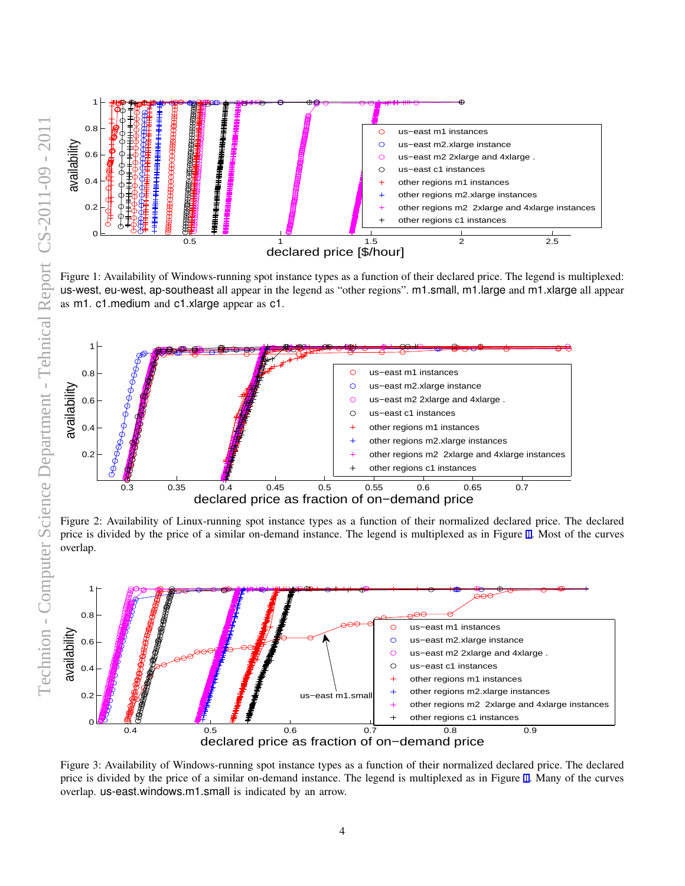<span id="page-3-0"></span>

Figure 1: Availability of Windows-running spot instance types as a function of their declared price. The legend is multiplexed: us-west, eu-west, ap-southeast all appear in the legend as "other regions". m1.small, m1.large and m1.xlarge all appear as m1. c1.medium and c1.xlarge appear as c1.



Figure 2: Availability of Linux-running spot instance types as a function of their normalized declared price. The declared price is divided by the price of a similar on-demand instance. The legend is multiplexed as in Figure 1. Most of the curves overlap.



Figure 3: Availability of Windows-running spot instance types as a function of their normalized declared price. The declared price is divided by the price of a similar on-demand instance. The legend is multiplexed as in Figure 1. Many of the curves overlap. us-east.windows.m1.small is indicated by an arrow.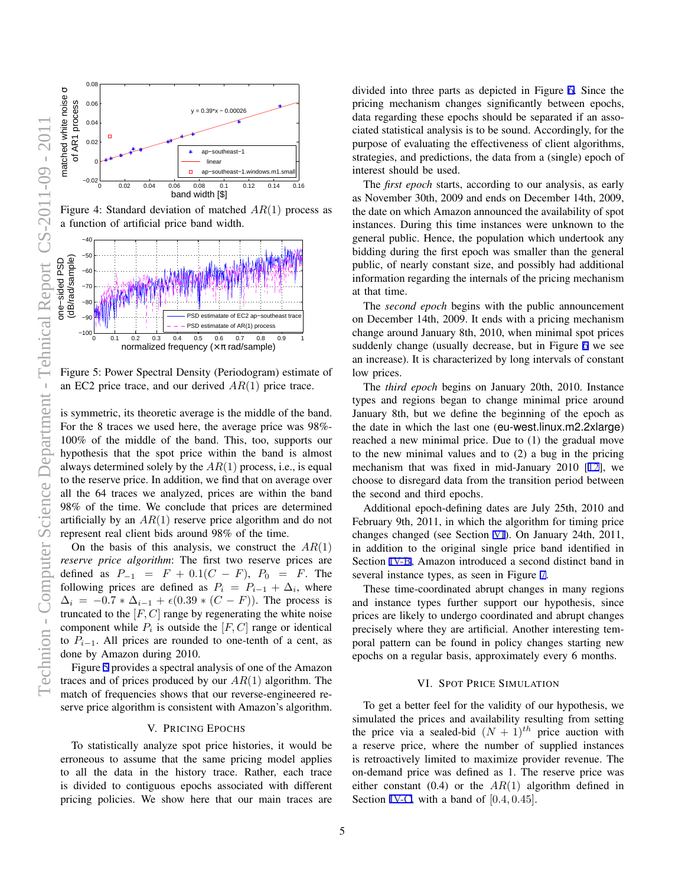<span id="page-4-0"></span>

Figure 4: Standard deviation of matched *AR*(1) process as a function of artificial price band width.



Figure 5: Power Spectral Density (Periodogram) estimate of an EC2 price trace, and our derived *AR*(1) price trace.

is symmetric, its theoretic average is the middle of the band. For the 8 traces we used here, the average price was 98%- 100% of the middle of the band. This, too, supports our hypothesis that the spot price within the band is almost always determined solely by the *AR*(1) process, i.e., is equal to the reserve price. In addition, we find that on average over all the 64 traces we analyzed, prices are within the band 98% of the time. We conclude that prices are determined artificially by an *AR*(1) reserve price algorithm and do not represent real client bids around 98% of the time.

On the basis of this analysis, we construct the *AR*(1) *reserve price algorithm*: The first two reserve prices are defined as  $P_{-1} = F + 0.1(C - F)$ ,  $P_0 = F$ . The following prices are defined as  $P_i = P_{i-1} + \Delta_i$ , where  $\Delta_i = -0.7 * \Delta_{i-1} + \epsilon (0.39 * (C - F))$ . The process is truncated to the [*F, C*] range by regenerating the white noise component while  $P_i$  is outside the  $[F, C]$  range or identical to  $P_{i-1}$ . All prices are rounded to one-tenth of a cent, as done by Amazon during 2010.

Figure 5 provides a spectral analysis of one of the Amazon traces and of prices produced by our *AR*(1) algorithm. The match of frequencies shows that our reverse-engineered reserve price algorithm is consistent with Amazon's algorithm.

#### V. PRICING EPOCHS

To statistically analyze spot price histories, it would be erroneous to assume that the same pricing model applies to all the data in the history trace. Rather, each trace is divided to contiguous epochs associated with different pricing policies. We show here that our main traces are divided into three parts as depicted in Figure [6](#page-5-0). Since the pricing mechanism changes significantly between epochs, data regarding these epochs should be separated if an associated statistical analysis is to be sound. Accordingly, for the purpose of evaluating the effectiveness of client algorithms, strategies, and predictions, the data from a (single) epoch of interest should be used.

The *first epoch* starts, according to our analysis, as early as November 30th, 2009 and ends on December 14th, 2009, the date on which Amazon announced the availability of spot instances. During this time instances were unknown to the general public. Hence, the population which undertook any bidding during the first epoch was smaller than the general public, of nearly constant size, and possibly had additional information regarding the internals of the pricing mechanism at that time.

The *second epoch* begins with the public announcement on December 14th, 2009. It ends with a pricing mechanism change around January 8th, 2010, when minimal spot prices suddenly change (usually decrease, but in Figure [6](#page-5-0) we see an increase). It is characterized by long intervals of constant low prices.

The *third epoch* begins on January 20th, 2010. Instance types and regions began to change minimal price around January 8th, but we define the beginning of the epoch as the date in which the last one (eu-west.linux.m2.2xlarge) reached a new minimal price. Due to (1) the gradual move to the new minimal values and to (2) a bug in the pricing mechanism that was fixed in mid-January 2010 [[12\]](#page-7-0), we choose to disregard data from the transition period between the second and third epochs.

Additional epoch-defining dates are July 25th, 2010 and February 9th, 2011, in which the algorithm for timing price changes changed (see Section VI). On January 24th, 2011, in addition to the original single price band identified in Section [IV-B,](#page-1-0) Amazon introduced a second distinct band in several instance types, as seen in Figure [7](#page-5-0).

These time-coordinated abrupt changes in many regions and instance types further support our hypothesis, since prices are likely to undergo coordinated and abrupt changes precisely where they are artificial. Another interesting temporal pattern can be found in policy changes starting new epochs on a regular basis, approximately every 6 months.

# VI. SPOT PRICE SIMULATION

To get a better feel for the validity of our hypothesis, we simulated the prices and availability resulting from setting the price via a sealed-bid  $(N + 1)^{th}$  price auction with a reserve price, where the number of supplied instances is retroactively limited to maximize provider revenue. The on-demand price was defined as 1. The reserve price was either constant (0.4) or the *AR*(1) algorithm defined in Section [IV-C,](#page-2-0) with a band of [0*.*4*,* 0*.*45].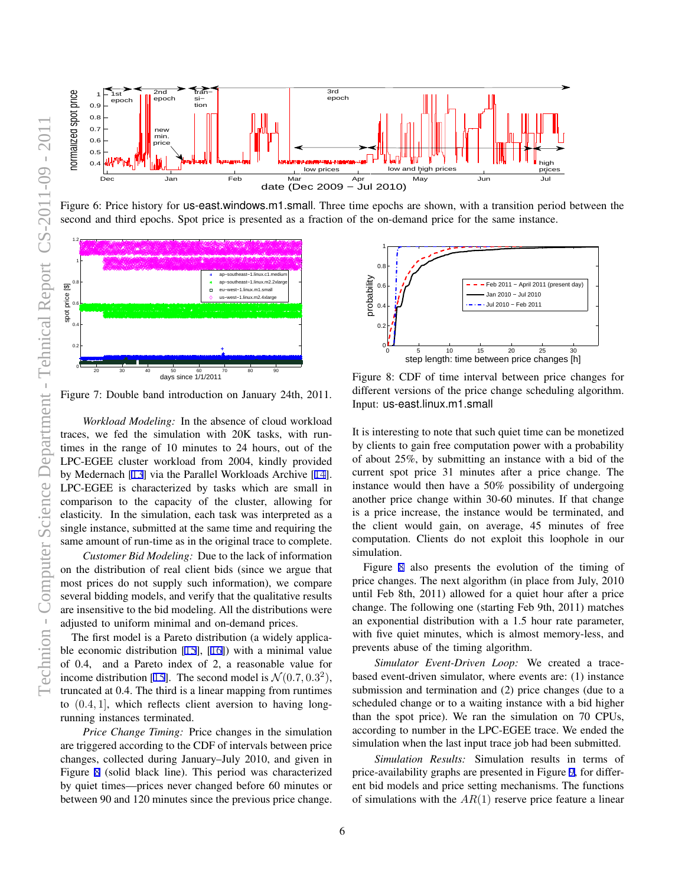<span id="page-5-0"></span>

Figure 6: Price history for us-east.windows.m1.small. Three time epochs are shown, with a transition period between the second and third epochs. Spot price is presented as a fraction of the on-demand price for the same instance.



Figure 7: Double band introduction on January 24th, 2011.

*Workload Modeling:* In the absence of cloud workload traces, we fed the simulation with 20K tasks, with runtimes in the range of 10 minutes to 24 hours, out of the LPC-EGEE cluster workload from 2004, kindly provided by Medernach [[13\]](#page-7-0) via the Parallel Workloads Archive [\[14](#page-7-0)]. LPC-EGEE is characterized by tasks which are small in comparison to the capacity of the cluster, allowing for elasticity. In the simulation, each task was interpreted as a single instance, submitted at the same time and requiring the same amount of run-time as in the original trace to complete.

*Customer Bid Modeling:* Due to the lack of information on the distribution of real client bids (since we argue that most prices do not supply such information), we compare several bidding models, and verify that the qualitative results are insensitive to the bid modeling. All the distributions were adjusted to uniform minimal and on-demand prices.

The first model is a Pareto distribution (a widely applicable economic distribution [\[15](#page-7-0)], [\[16](#page-7-0)]) with a minimal value of 0.4, and a Pareto index of 2, a reasonable value for income distribution [\[15](#page-7-0)]. The second model is  $\mathcal{N}(0.7, 0.3^2)$ , truncated at 0.4. The third is a linear mapping from runtimes to (0*.*4*,* 1], which reflects client aversion to having longrunning instances terminated.

*Price Change Timing:* Price changes in the simulation are triggered according to the CDF of intervals between price changes, collected during January–July 2010, and given in Figure 8 (solid black line). This period was characterized by quiet times—prices never changed before 60 minutes or between 90 and 120 minutes since the previous price change.



Figure 8: CDF of time interval between price changes for different versions of the price change scheduling algorithm. Input: us-east.linux.m1.small

It is interesting to note that such quiet time can be monetized by clients to gain free computation power with a probability of about 25%, by submitting an instance with a bid of the current spot price 31 minutes after a price change. The instance would then have a 50% possibility of undergoing another price change within 30-60 minutes. If that change is a price increase, the instance would be terminated, and the client would gain, on average, 45 minutes of free computation. Clients do not exploit this loophole in our simulation.

Figure 8 also presents the evolution of the timing of price changes. The next algorithm (in place from July, 2010 until Feb 8th, 2011) allowed for a quiet hour after a price change. The following one (starting Feb 9th, 2011) matches an exponential distribution with a 1.5 hour rate parameter, with five quiet minutes, which is almost memory-less, and prevents abuse of the timing algorithm.

*Simulator Event-Driven Loop:* We created a tracebased event-driven simulator, where events are: (1) instance submission and termination and (2) price changes (due to a scheduled change or to a waiting instance with a bid higher than the spot price). We ran the simulation on 70 CPUs, according to number in the LPC-EGEE trace. We ended the simulation when the last input trace job had been submitted.

*Simulation Results:* Simulation results in terms of price-availability graphs are presented in Figure [9,](#page-6-0) for different bid models and price setting mechanisms. The functions of simulations with the *AR*(1) reserve price feature a linear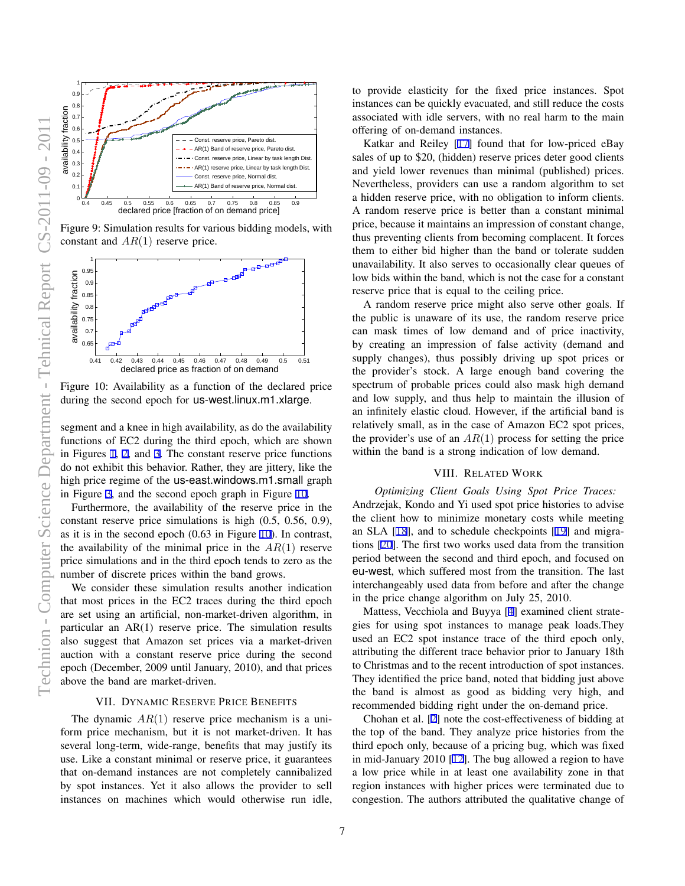<span id="page-6-0"></span>

Figure 9: Simulation results for various bidding models, with constant and *AR*(1) reserve price.



Figure 10: Availability as a function of the declared price during the second epoch for us-west.linux.m1.xlarge.

segment and a knee in high availability, as do the availability functions of EC2 during the third epoch, which are shown in Figures [1](#page-3-0), [2](#page-3-0), and [3](#page-3-0). The constant reserve price functions do not exhibit this behavior. Rather, they are jittery, like the high price regime of the us-east.windows.m1.small graph in Figure [3,](#page-3-0) and the second epoch graph in Figure 10.

Furthermore, the availability of the reserve price in the constant reserve price simulations is high (0.5, 0.56, 0.9), as it is in the second epoch (0.63 in Figure 10). In contrast, the availability of the minimal price in the *AR*(1) reserve price simulations and in the third epoch tends to zero as the number of discrete prices within the band grows.

We consider these simulation results another indication that most prices in the EC2 traces during the third epoch are set using an artificial, non-market-driven algorithm, in particular an AR(1) reserve price. The simulation results also suggest that Amazon set prices via a market-driven auction with a constant reserve price during the second epoch (December, 2009 until January, 2010), and that prices above the band are market-driven.

### VII. DYNAMIC RESERVE PRICE BENEFITS

The dynamic  $AR(1)$  reserve price mechanism is a uniform price mechanism, but it is not market-driven. It has several long-term, wide-range, benefits that may justify its use. Like a constant minimal or reserve price, it guarantees that on-demand instances are not completely cannibalized by spot instances. Yet it also allows the provider to sell instances on machines which would otherwise run idle, to provide elasticity for the fixed price instances. Spot instances can be quickly evacuated, and still reduce the costs associated with idle servers, with no real harm to the main offering of on-demand instances.

Katkar and Reiley [\[17](#page-7-0)] found that for low-priced eBay sales of up to \$20, (hidden) reserve prices deter good clients and yield lower revenues than minimal (published) prices. Nevertheless, providers can use a random algorithm to set a hidden reserve price, with no obligation to inform clients. A random reserve price is better than a constant minimal price, because it maintains an impression of constant change, thus preventing clients from becoming complacent. It forces them to either bid higher than the band or tolerate sudden unavailability. It also serves to occasionally clear queues of low bids within the band, which is not the case for a constant reserve price that is equal to the ceiling price.

A random reserve price might also serve other goals. If the public is unaware of its use, the random reserve price can mask times of low demand and of price inactivity, by creating an impression of false activity (demand and supply changes), thus possibly driving up spot prices or the provider's stock. A large enough band covering the spectrum of probable prices could also mask high demand and low supply, and thus help to maintain the illusion of an infinitely elastic cloud. However, if the artificial band is relatively small, as in the case of Amazon EC2 spot prices, the provider's use of an  $AR(1)$  process for setting the price within the band is a strong indication of low demand.

# VIII. RELATED WORK

*Optimizing Client Goals Using Spot Price Traces:* Andrzejak, Kondo and Yi used spot price histories to advise the client how to minimize monetary costs while meeting an SLA [[18\]](#page-7-0), and to schedule checkpoints [\[19](#page-7-0)] and migrations [[20\]](#page-7-0). The first two works used data from the transition period between the second and third epoch, and focused on eu-west, which suffered most from the transition. The last interchangeably used data from before and after the change in the price change algorithm on July 25, 2010.

Mattess, Vecchiola and Buyya [\[4](#page-7-0)] examined client strategies for using spot instances to manage peak loads.They used an EC2 spot instance trace of the third epoch only, attributing the different trace behavior prior to January 18th to Christmas and to the recent introduction of spot instances. They identified the price band, noted that bidding just above the band is almost as good as bidding very high, and recommended bidding right under the on-demand price.

Chohan et al. [\[2](#page-7-0)] note the cost-effectiveness of bidding at the top of the band. They analyze price histories from the third epoch only, because of a pricing bug, which was fixed in mid-January 2010 [\[12](#page-7-0)]. The bug allowed a region to have a low price while in at least one availability zone in that region instances with higher prices were terminated due to congestion. The authors attributed the qualitative change of